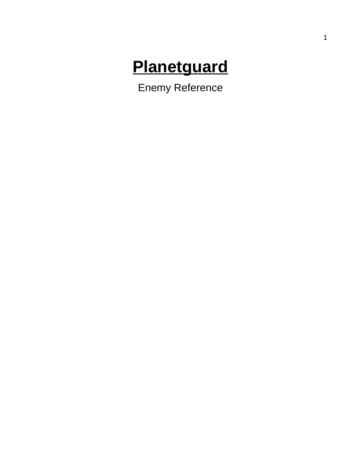# **Planetguard**

**Enemy Reference**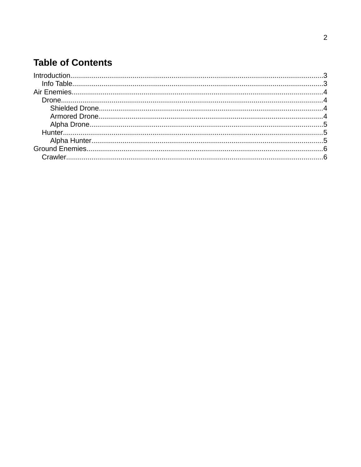## **Table of Contents**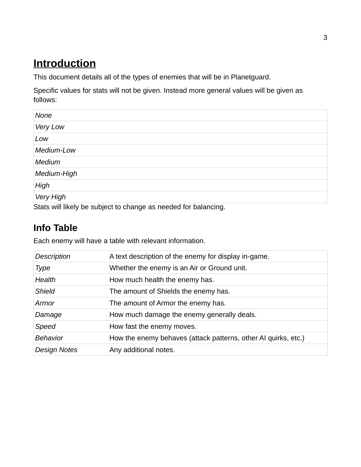# <span id="page-2-0"></span> **Introduction**

This document details all of the types of enemies that will be in Planetguard.

Specific values for stats will not be given. Instead more general values will be given as follows:

| None        |  |
|-------------|--|
| Very Low    |  |
| Low         |  |
| Medium-Low  |  |
| Medium      |  |
| Medium-High |  |
| High        |  |
| Very High   |  |

Stats will likely be subject to change as needed for balancing.

#### <span id="page-2-1"></span>**Info Table**

Each enemy will have a table with relevant information.

| <b>Description</b>  | A text description of the enemy for display in-game.           |
|---------------------|----------------------------------------------------------------|
| Type                | Whether the enemy is an Air or Ground unit.                    |
| Health              | How much health the enemy has.                                 |
| <b>Shield</b>       | The amount of Shields the enemy has.                           |
| Armor               | The amount of Armor the enemy has.                             |
| Damage              | How much damage the enemy generally deals.                     |
| Speed               | How fast the enemy moves.                                      |
| <b>Behavior</b>     | How the enemy behaves (attack patterns, other AI quirks, etc.) |
| <b>Design Notes</b> | Any additional notes.                                          |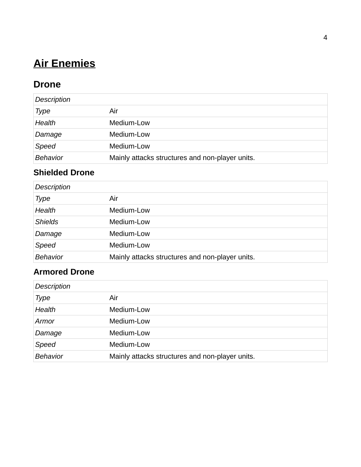# <span id="page-3-3"></span> **Air Enemies**

#### <span id="page-3-2"></span>**Drone**

| <b>Description</b> |                                                 |
|--------------------|-------------------------------------------------|
| Type               | Air                                             |
| Health             | Medium-Low                                      |
| Damage             | Medium-Low                                      |
| Speed              | Medium-Low                                      |
| <b>Behavior</b>    | Mainly attacks structures and non-player units. |

#### <span id="page-3-1"></span>**Shielded Drone**

| <b>Description</b> |                                                 |
|--------------------|-------------------------------------------------|
| Type               | Air                                             |
| Health             | Medium-Low                                      |
| <b>Shields</b>     | Medium-Low                                      |
| Damage             | Medium-Low                                      |
| Speed              | Medium-Low                                      |
| <b>Behavior</b>    | Mainly attacks structures and non-player units. |

#### <span id="page-3-0"></span>**Armored Drone**

| <b>Description</b> |                                                 |
|--------------------|-------------------------------------------------|
| Type               | Air                                             |
| Health             | Medium-Low                                      |
| Armor              | Medium-Low                                      |
| Damage             | Medium-Low                                      |
| Speed              | Medium-Low                                      |
| <b>Behavior</b>    | Mainly attacks structures and non-player units. |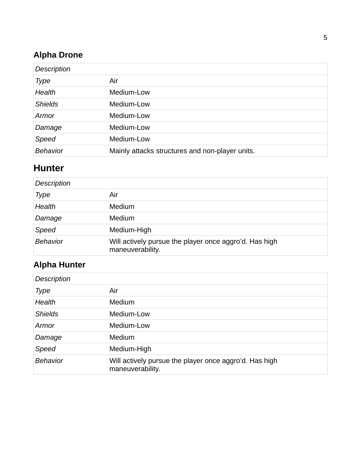#### <span id="page-4-2"></span>**Alpha Drone**

| <b>Description</b> |                                                 |
|--------------------|-------------------------------------------------|
| <b>Type</b>        | Air                                             |
| Health             | Medium-Low                                      |
| <b>Shields</b>     | Medium-Low                                      |
| Armor              | Medium-Low                                      |
| Damage             | Medium-Low                                      |
| Speed              | Medium-Low                                      |
| <b>Behavior</b>    | Mainly attacks structures and non-player units. |

#### <span id="page-4-1"></span>**Hunter**

| <b>Description</b> |                                                                            |
|--------------------|----------------------------------------------------------------------------|
| Type               | Air                                                                        |
| Health             | Medium                                                                     |
| Damage             | Medium                                                                     |
| Speed              | Medium-High                                                                |
| <b>Behavior</b>    | Will actively pursue the player once aggro'd. Has high<br>maneuverability. |

### <span id="page-4-0"></span>**Alpha Hunter**

| Description     |                                                                            |
|-----------------|----------------------------------------------------------------------------|
| Type            | Air                                                                        |
| Health          | Medium                                                                     |
| <b>Shields</b>  | Medium-Low                                                                 |
| Armor           | Medium-Low                                                                 |
| Damage          | Medium                                                                     |
| Speed           | Medium-High                                                                |
| <b>Behavior</b> | Will actively pursue the player once aggro'd. Has high<br>maneuverability. |